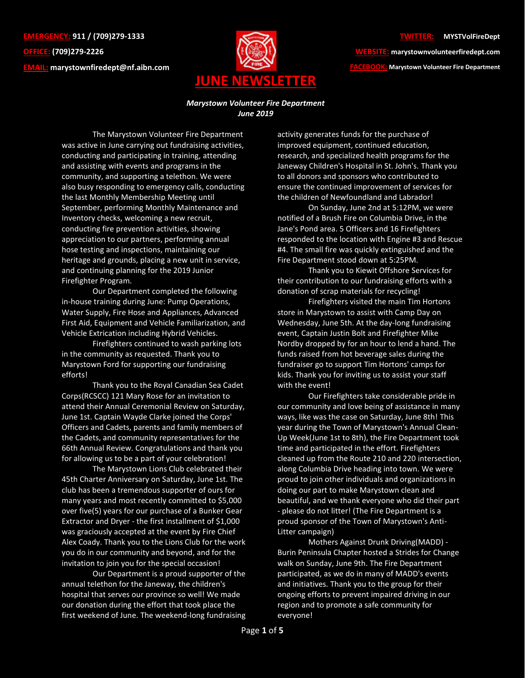**EMERGENCY: 911 / (709)279-1333 OFFICE: (709)279-2226 EMAIL: [marystownfiredept@nf.aibn.com](mailto:marystownfiredept@nf.aibn.com)**



**WEBSITE: marystownvolunteerfiredept.com FACEBOOK: Marystown Volunteer Fire Department**

## *Marystown Volunteer Fire Department June 2019*

The Marystown Volunteer Fire Department was active in June carrying out fundraising activities, conducting and participating in training, attending and assisting with events and programs in the community, and supporting a telethon. We were also busy responding to emergency calls, conducting the last Monthly Membership Meeting until September, performing Monthly Maintenance and Inventory checks, welcoming a new recruit, conducting fire prevention activities, showing appreciation to our partners, performing annual hose testing and inspections, maintaining our heritage and grounds, placing a new unit in service, and continuing planning for the 2019 Junior Firefighter Program.

Our Department completed the following in-house training during June: Pump Operations, Water Supply, Fire Hose and Appliances, Advanced First Aid, Equipment and Vehicle Familiarization, and Vehicle Extrication including Hybrid Vehicles.

Firefighters continued to wash parking lots in the community as requested. Thank you to Marystown Ford for supporting our fundraising efforts!

Thank you to the Royal Canadian Sea Cadet Corps(RCSCC) 121 Mary Rose for an invitation to attend their Annual Ceremonial Review on Saturday, June 1st. Captain Wayde Clarke joined the Corps' Officers and Cadets, parents and family members of the Cadets, and community representatives for the 66th Annual Review. Congratulations and thank you for allowing us to be a part of your celebration!

The Marystown Lions Club celebrated their 45th Charter Anniversary on Saturday, June 1st. The club has been a tremendous supporter of ours for many years and most recently committed to \$5,000 over five(5) years for our purchase of a Bunker Gear Extractor and Dryer - the first installment of \$1,000 was graciously accepted at the event by Fire Chief Alex Coady. Thank you to the Lions Club for the work you do in our community and beyond, and for the invitation to join you for the special occasion!

Our Department is a proud supporter of the annual telethon for the Janeway, the children's hospital that serves our province so well! We made our donation during the effort that took place the first weekend of June. The weekend-long fundraising

activity generates funds for the purchase of improved equipment, continued education, research, and specialized health programs for the Janeway Children's Hospital in St. John's. Thank you to all donors and sponsors who contributed to ensure the continued improvement of services for the children of Newfoundland and Labrador!

On Sunday, June 2nd at 5:12PM, we were notified of a Brush Fire on Columbia Drive, in the Jane's Pond area. 5 Officers and 16 Firefighters responded to the location with Engine #3 and Rescue #4. The small fire was quickly extinguished and the Fire Department stood down at 5:25PM.

Thank you to Kiewit Offshore Services for their contribution to our fundraising efforts with a donation of scrap materials for recycling!

Firefighters visited the main Tim Hortons store in Marystown to assist with Camp Day on Wednesday, June 5th. At the day-long fundraising event, Captain Justin Bolt and Firefighter Mike Nordby dropped by for an hour to lend a hand. The funds raised from hot beverage sales during the fundraiser go to support Tim Hortons' camps for kids. Thank you for inviting us to assist your staff with the event!

Our Firefighters take considerable pride in our community and love being of assistance in many ways, like was the case on Saturday, June 8th! This year during the Town of Marystown's Annual Clean-Up Week(June 1st to 8th), the Fire Department took time and participated in the effort. Firefighters cleaned up from the Route 210 and 220 intersection, along Columbia Drive heading into town. We were proud to join other individuals and organizations in doing our part to make Marystown clean and beautiful, and we thank everyone who did their part - please do not litter! (The Fire Department is a proud sponsor of the Town of Marystown's Anti-Litter campaign)

Mothers Against Drunk Driving(MADD) - Burin Peninsula Chapter hosted a Strides for Change walk on Sunday, June 9th. The Fire Department participated, as we do in many of MADD's events and initiatives. Thank you to the group for their ongoing efforts to prevent impaired driving in our region and to promote a safe community for everyone!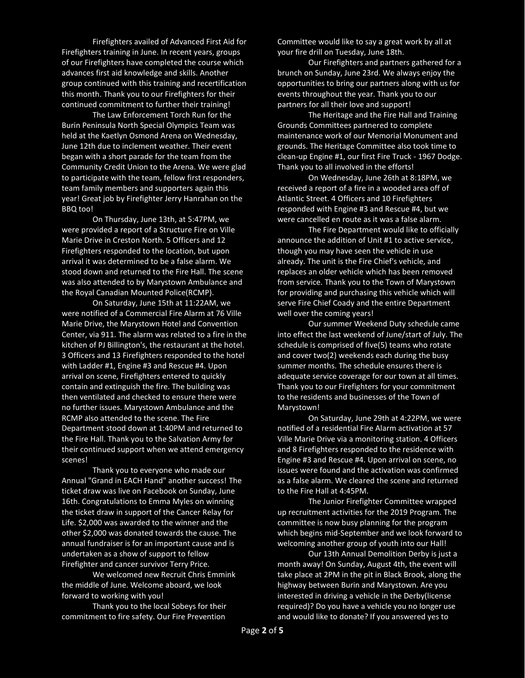Firefighters availed of Advanced First Aid for Firefighters training in June. In recent years, groups of our Firefighters have completed the course which advances first aid knowledge and skills. Another group continued with this training and recertification this month. Thank you to our Firefighters for their continued commitment to further their training!

The Law Enforcement Torch Run for the Burin Peninsula North Special Olympics Team was held at the Kaetlyn Osmond Arena on Wednesday, June 12th due to inclement weather. Their event began with a short parade for the team from the Community Credit Union to the Arena. We were glad to participate with the team, fellow first responders, team family members and supporters again this year! Great job by Firefighter Jerry Hanrahan on the BBQ too!

On Thursday, June 13th, at 5:47PM, we were provided a report of a Structure Fire on Ville Marie Drive in Creston North. 5 Officers and 12 Firefighters responded to the location, but upon arrival it was determined to be a false alarm. We stood down and returned to the Fire Hall. The scene was also attended to by Marystown Ambulance and the Royal Canadian Mounted Police(RCMP).

On Saturday, June 15th at 11:22AM, we were notified of a Commercial Fire Alarm at 76 Ville Marie Drive, the Marystown Hotel and Convention Center, via 911. The alarm was related to a fire in the kitchen of PJ Billington's, the restaurant at the hotel. 3 Officers and 13 Firefighters responded to the hotel with Ladder #1, Engine #3 and Rescue #4. Upon arrival on scene, Firefighters entered to quickly contain and extinguish the fire. The building was then ventilated and checked to ensure there were no further issues. Marystown Ambulance and the RCMP also attended to the scene. The Fire Department stood down at 1:40PM and returned to the Fire Hall. Thank you to the Salvation Army for their continued support when we attend emergency scenes!

Thank you to everyone who made our Annual "Grand in EACH Hand" another success! The ticket draw was live on Facebook on Sunday, June 16th. Congratulations to Emma Myles on winning the ticket draw in support of the Cancer Relay for Life. \$2,000 was awarded to the winner and the other \$2,000 was donated towards the cause. The annual fundraiser is for an important cause and is undertaken as a show of support to fellow Firefighter and cancer survivor Terry Price.

We welcomed new Recruit Chris Emmink the middle of June. Welcome aboard, we look forward to working with you!

Thank you to the local Sobeys for their commitment to fire safety. Our Fire Prevention

Committee would like to say a great work by all at your fire drill on Tuesday, June 18th.

Our Firefighters and partners gathered for a brunch on Sunday, June 23rd. We always enjoy the opportunities to bring our partners along with us for events throughout the year. Thank you to our partners for all their love and support!

The Heritage and the Fire Hall and Training Grounds Committees partnered to complete maintenance work of our Memorial Monument and grounds. The Heritage Committee also took time to clean-up Engine #1, our first Fire Truck - 1967 Dodge. Thank you to all involved in the efforts!

On Wednesday, June 26th at 8:18PM, we received a report of a fire in a wooded area off of Atlantic Street. 4 Officers and 10 Firefighters responded with Engine #3 and Rescue #4, but we were cancelled en route as it was a false alarm.

The Fire Department would like to officially announce the addition of Unit #1 to active service, though you may have seen the vehicle in use already. The unit is the Fire Chief's vehicle, and replaces an older vehicle which has been removed from service. Thank you to the Town of Marystown for providing and purchasing this vehicle which will serve Fire Chief Coady and the entire Department well over the coming years!

Our summer Weekend Duty schedule came into effect the last weekend of June/start of July. The schedule is comprised of five(5) teams who rotate and cover two(2) weekends each during the busy summer months. The schedule ensures there is adequate service coverage for our town at all times. Thank you to our Firefighters for your commitment to the residents and businesses of the Town of Marystown!

On Saturday, June 29th at 4:22PM, we were notified of a residential Fire Alarm activation at 57 Ville Marie Drive via a monitoring station. 4 Officers and 8 Firefighters responded to the residence with Engine #3 and Rescue #4. Upon arrival on scene, no issues were found and the activation was confirmed as a false alarm. We cleared the scene and returned to the Fire Hall at 4:45PM.

The Junior Firefighter Committee wrapped up recruitment activities for the 2019 Program. The committee is now busy planning for the program which begins mid-September and we look forward to welcoming another group of youth into our Hall!

Our 13th Annual Demolition Derby is just a month away! On Sunday, August 4th, the event will take place at 2PM in the pit in Black Brook, along the highway between Burin and Marystown. Are you interested in driving a vehicle in the Derby(license required)? Do you have a vehicle you no longer use and would like to donate? If you answered yes to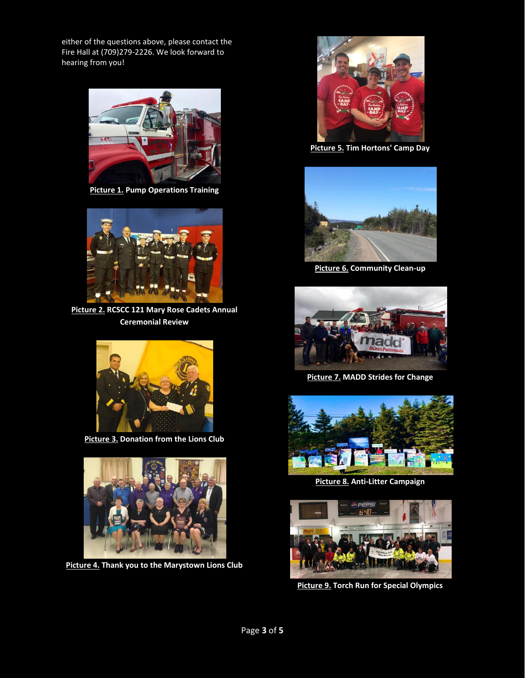either of the questions above, please contact the Fire Hall at (709)279-2226. We look forward to hearing from you!



**Picture 1. Pump Operations Training**



**Picture 2. RCSCC 121 Mary Rose Cadets Annual Ceremonial Review**



**Picture 3. Donation from the Lions Club**



**Picture 4. Thank you to the Marystown Lions Club**



**Picture 5. Tim Hortons' Camp Day**



**Picture 6. Community Clean-up**



**Picture 7. MADD Strides for Change**



**Picture 8. Anti-Litter Campaign**



**Picture 9. Torch Run for Special Olympics**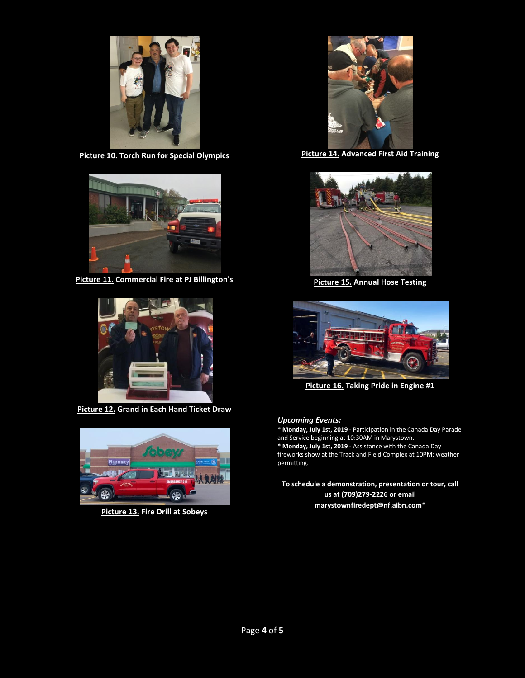

**Picture 10. Torch Run for Special Olympics**



**Picture 11. Commercial Fire at PJ Billington's**



**Picture 12. Grand in Each Hand Ticket Draw**



**Picture 13. Fire Drill at Sobeys**



**Picture 14. Advanced First Aid Training**



**Picture 15. Annual Hose Testing**



**Picture 16. Taking Pride in Engine #1**

## *Upcoming Events:*

**\* Monday, July 1st, 2019** - Participation in the Canada Day Parade and Service beginning at 10:30AM in Marystown. **\* Monday, July 1st, 2019** - Assistance with the Canada Day fireworks show at the Track and Field Complex at 10PM; weather permitting.

**To schedule a demonstration, presentation or tour, call us at (709)279-2226 or email [marystownfiredept@nf.aibn.com\\*](mailto:marystownfiredept@nf.aibn.com)**